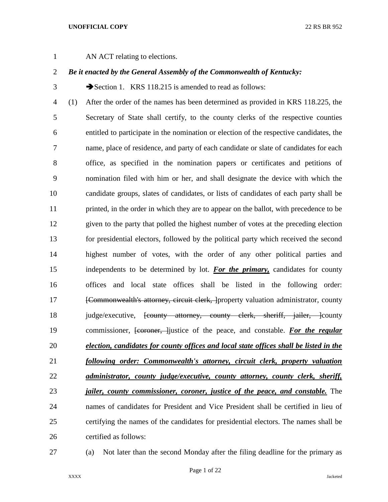AN ACT relating to elections.

# *Be it enacted by the General Assembly of the Commonwealth of Kentucky:*

3 Section 1. KRS 118.215 is amended to read as follows:

 (1) After the order of the names has been determined as provided in KRS 118.225, the Secretary of State shall certify, to the county clerks of the respective counties entitled to participate in the nomination or election of the respective candidates, the name, place of residence, and party of each candidate or slate of candidates for each office, as specified in the nomination papers or certificates and petitions of nomination filed with him or her, and shall designate the device with which the candidate groups, slates of candidates, or lists of candidates of each party shall be 11 printed, in the order in which they are to appear on the ballot, with precedence to be given to the party that polled the highest number of votes at the preceding election for presidential electors, followed by the political party which received the second highest number of votes, with the order of any other political parties and independents to be determined by lot. *For the primary,* candidates for county offices and local state offices shall be listed in the following order: **[Commonwealth's attorney, circuit clerk, ]**property valuation administrator, county 18 judge/executive, <del>[county attorney, county clerk, sheriff, jailer, ]</del>county commissioner, [coroner, ]justice of the peace, and constable. *For the regular election, candidates for county offices and local state offices shall be listed in the following order: Commonwealth's attorney, circuit clerk, property valuation administrator, county judge/executive, county attorney, county clerk, sheriff, jailer, county commissioner, coroner, justice of the peace, and constable.* The names of candidates for President and Vice President shall be certified in lieu of certifying the names of the candidates for presidential electors. The names shall be certified as follows:

(a) Not later than the second Monday after the filing deadline for the primary as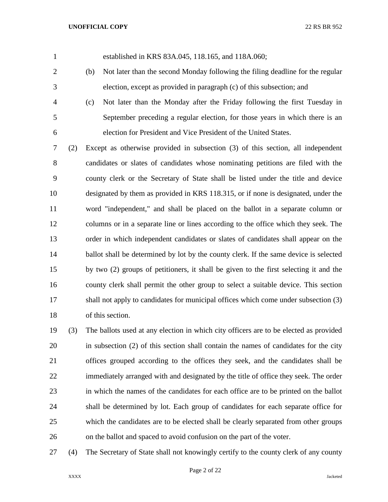established in KRS 83A.045, 118.165, and 118A.060;

- (b) Not later than the second Monday following the filing deadline for the regular election, except as provided in paragraph (c) of this subsection; and
- (c) Not later than the Monday after the Friday following the first Tuesday in September preceding a regular election, for those years in which there is an election for President and Vice President of the United States.

 (2) Except as otherwise provided in subsection (3) of this section, all independent candidates or slates of candidates whose nominating petitions are filed with the county clerk or the Secretary of State shall be listed under the title and device designated by them as provided in KRS 118.315, or if none is designated, under the word "independent," and shall be placed on the ballot in a separate column or columns or in a separate line or lines according to the office which they seek. The order in which independent candidates or slates of candidates shall appear on the 14 ballot shall be determined by lot by the county clerk. If the same device is selected by two (2) groups of petitioners, it shall be given to the first selecting it and the county clerk shall permit the other group to select a suitable device. This section shall not apply to candidates for municipal offices which come under subsection (3) of this section.

 (3) The ballots used at any election in which city officers are to be elected as provided in subsection (2) of this section shall contain the names of candidates for the city offices grouped according to the offices they seek, and the candidates shall be immediately arranged with and designated by the title of office they seek. The order in which the names of the candidates for each office are to be printed on the ballot shall be determined by lot. Each group of candidates for each separate office for which the candidates are to be elected shall be clearly separated from other groups on the ballot and spaced to avoid confusion on the part of the voter.

(4) The Secretary of State shall not knowingly certify to the county clerk of any county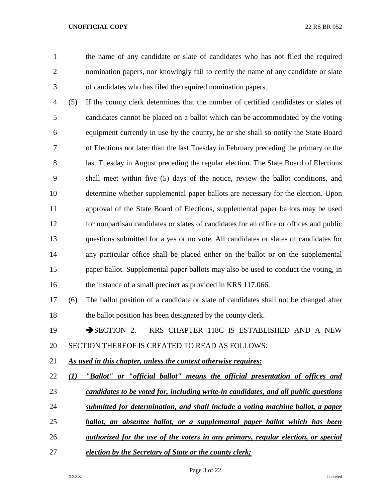the name of any candidate or slate of candidates who has not filed the required nomination papers, nor knowingly fail to certify the name of any candidate or slate of candidates who has filed the required nomination papers.

 (5) If the county clerk determines that the number of certified candidates or slates of candidates cannot be placed on a ballot which can be accommodated by the voting equipment currently in use by the county, he or she shall so notify the State Board of Elections not later than the last Tuesday in February preceding the primary or the 8 last Tuesday in August preceding the regular election. The State Board of Elections shall meet within five (5) days of the notice, review the ballot conditions, and determine whether supplemental paper ballots are necessary for the election. Upon approval of the State Board of Elections, supplemental paper ballots may be used for nonpartisan candidates or slates of candidates for an office or offices and public questions submitted for a yes or no vote. All candidates or slates of candidates for any particular office shall be placed either on the ballot or on the supplemental paper ballot. Supplemental paper ballots may also be used to conduct the voting, in 16 the instance of a small precinct as provided in KRS 117.066.

- (6) The ballot position of a candidate or slate of candidates shall not be changed after the ballot position has been designated by the county clerk.
- 19 SECTION 2. KRS CHAPTER 118C IS ESTABLISHED AND A NEW SECTION THEREOF IS CREATED TO READ AS FOLLOWS:
- *As used in this chapter, unless the context otherwise requires:*
- *(1) "Ballot" or "official ballot" means the official presentation of offices and*
- *candidates to be voted for, including write-in candidates, and all public questions*
- *submitted for determination, and shall include a voting machine ballot, a paper*
- *ballot, an absentee ballot, or a supplemental paper ballot which has been*
- *authorized for the use of the voters in any primary, regular election, or special*
- *election by the Secretary of State or the county clerk;*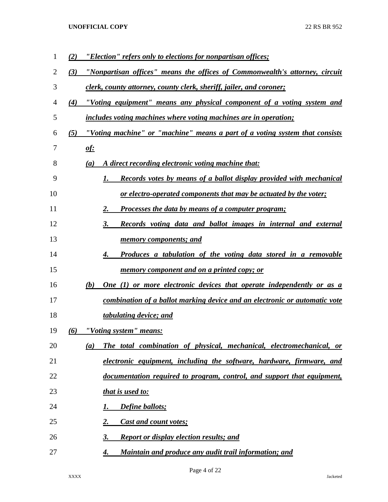| $\mathbf{1}$ | "Election" refers only to elections for nonpartisan offices;<br>(2)                 |
|--------------|-------------------------------------------------------------------------------------|
| 2            | "Nonpartisan offices" means the offices of Commonwealth's attorney, circuit<br>(3)  |
| 3            | <u>clerk, county attorney, county clerk, sheriff, jailer, and coroner;</u>          |
| 4            | "Voting equipment" means any physical component of a voting system and<br>(4)       |
| 5            | includes voting machines where voting machines are in operation;                    |
| 6            | (5)<br>"Voting machine" or "machine" means a part of a voting system that consists  |
| 7            | <u>of:</u>                                                                          |
| 8            | A direct recording electronic voting machine that:<br>(a)                           |
| 9            | Records votes by means of a ballot display provided with mechanical<br>1.           |
| 10           | <u>or electro-operated components that may be actuated by the voter;</u>            |
| 11           | 2.<br>Processes the data by means of a computer program;                            |
| 12           | 3.<br>Records voting data and ballot images in internal and external                |
| 13           | <u>memory components; and</u>                                                       |
| 14           | Produces a tabulation of the voting data stored in a removable<br>4.                |
| 15           | <u>memory component and on a printed copy; or</u>                                   |
| 16           | (b)<br><b>One (1) or more electronic devices that operate independently or as a</b> |
| 17           | combination of a ballot marking device and an electronic or automatic vote          |
| 18           | tabulating device; and                                                              |
| 19           | "Voting system" means:<br>(6)                                                       |
| 20           | The total combination of physical, mechanical, electromechanical, or<br>(a)         |
| 21           | electronic equipment, including the software, hardware, firmware, and               |
| 22           | documentation required to program, control, and support that equipment,             |
| 23           | <u>that is used to:</u>                                                             |
| 24           | Define ballots;<br>1.                                                               |
| 25           | 2.<br><b>Cast and count votes;</b>                                                  |
| 26           | 3.<br><b>Report or display election results; and</b>                                |
| 27           | Maintain and produce any audit trail information; and<br>4.                         |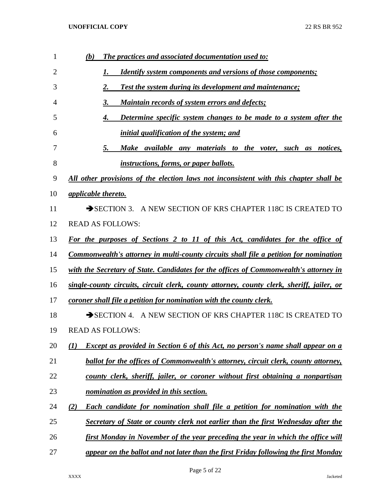| 1              | (b)<br><b>The practices and associated documentation used to:</b>                               |
|----------------|-------------------------------------------------------------------------------------------------|
| $\overline{2}$ | <b>Identify system components and versions of those components;</b><br>1.                       |
| 3              | 2.<br><b>Test the system during its development and maintenance;</b>                            |
| 4              | <b>Maintain records of system errors and defects;</b><br>3.                                     |
| 5              | Determine specific system changes to be made to a system after the<br>4.                        |
| 6              | initial qualification of the system; and                                                        |
| 7              | Make available any materials to the voter, such as notices,<br>5.                               |
| 8              | <i>instructions, forms, or paper ballots.</i>                                                   |
| 9              | All other provisions of the election laws not inconsistent with this chapter shall be           |
| 10             | <i>applicable thereto.</i>                                                                      |
| 11             | SECTION 3. A NEW SECTION OF KRS CHAPTER 118C IS CREATED TO                                      |
| 12             | <b>READ AS FOLLOWS:</b>                                                                         |
| 13             | For the purposes of Sections 2 to 11 of this Act, candidates for the office of                  |
| 14             | <b>Commonwealth's attorney in multi-county circuits shall file a petition for nomination</b>    |
| 15             | with the Secretary of State. Candidates for the offices of Commonwealth's attorney in           |
| 16             | single-county circuits, circuit clerk, county attorney, county clerk, sheriff, jailer, or       |
| 17             | coroner shall file a petition for nomination with the county clerk.                             |
| 18             | SECTION 4. A NEW SECTION OF KRS CHAPTER 118C IS CREATED TO                                      |
| 19             | <b>READ AS FOLLOWS:</b>                                                                         |
| 20             | Except as provided in Section 6 of this Act, no person's name shall appear on a<br>$\mathbf{U}$ |
| 21             | ballot for the offices of Commonwealth's attorney, circuit clerk, county attorney,              |
| 22             | county clerk, sheriff, jailer, or coroner without first obtaining a nonpartisan                 |
| 23             | nomination as provided in this section.                                                         |
| 24             | Each candidate for nomination shall file a petition for nomination with the<br>(2)              |
| 25             | Secretary of State or county clerk not earlier than the first Wednesday after the               |
| 26             | first Monday in November of the year preceding the year in which the office will                |
| 27             | appear on the ballot and not later than the first Friday following the first Monday             |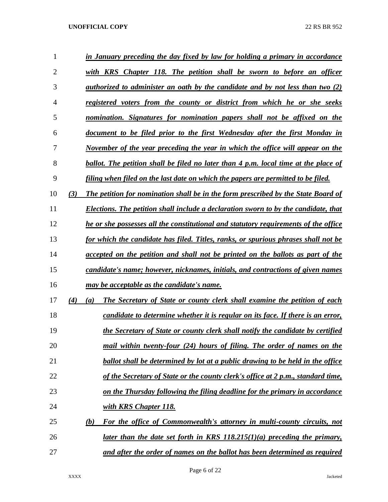| 1  |                         | in January preceding the day fixed by law for holding a primary in accordance         |
|----|-------------------------|---------------------------------------------------------------------------------------|
| 2  |                         | with KRS Chapter 118. The petition shall be sworn to before an officer                |
| 3  |                         | authorized to administer an oath by the candidate and by not less than two $(2)$      |
| 4  |                         | registered voters from the county or district from which he or she seeks              |
| 5  |                         | nomination. Signatures for nomination papers shall not be affixed on the              |
| 6  |                         | document to be filed prior to the first Wednesday after the first Monday in           |
| 7  |                         | November of the year preceding the year in which the office will appear on the        |
| 8  |                         | ballot. The petition shall be filed no later than 4 p.m. local time at the place of   |
| 9  |                         | filing when filed on the last date on which the papers are permitted to be filed.     |
| 10 | (3)                     | The petition for nomination shall be in the form prescribed by the State Board of     |
| 11 |                         | Elections. The petition shall include a declaration sworn to by the candidate, that   |
| 12 |                         | he or she possesses all the constitutional and statutory requirements of the office   |
| 13 |                         | for which the candidate has filed. Titles, ranks, or spurious phrases shall not be    |
| 14 |                         | accepted on the petition and shall not be printed on the ballots as part of the       |
| 15 |                         | candidate's name; however, nicknames, initials, and contractions of given names       |
| 16 |                         | may be acceptable as the candidate's name.                                            |
| 17 | (4)<br>$\left(a\right)$ | The Secretary of State or county clerk shall examine the petition of each             |
| 18 |                         | candidate to determine whether it is regular on its face. If there is an error,       |
| 19 |                         | the Secretary of State or county clerk shall notify the candidate by certified        |
| 20 |                         | mail within twenty-four (24) hours of filing. The order of names on the               |
| 21 |                         | <b>ballot shall be determined by lot at a public drawing to be held in the office</b> |
| 22 |                         | of the Secretary of State or the county clerk's office at 2 p.m., standard time,      |
| 23 |                         | on the Thursday following the filing deadline for the primary in accordance           |
| 24 |                         | with KRS Chapter 118.                                                                 |
| 25 | (b)                     | For the office of Commonwealth's attorney in multi-county circuits, not               |
| 26 |                         | later than the date set forth in KRS $118.215(1)(a)$ preceding the primary,           |
| 27 |                         | and after the order of names on the ballot has been determined as required            |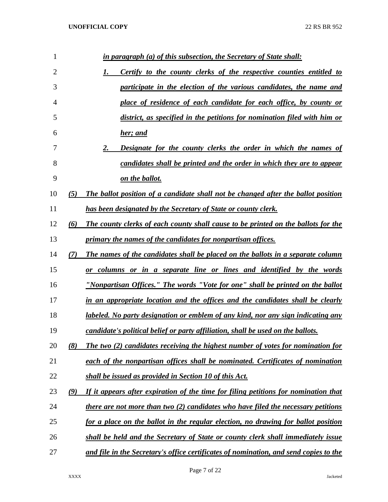| $\mathbf{1}$   | <u>in paragraph (a) of this subsection, the Secretary of State shall:</u>                       |
|----------------|-------------------------------------------------------------------------------------------------|
| $\overline{2}$ | <b>Certify to the county clerks of the respective counties entitled to</b><br>1.                |
| 3              | participate in the election of the various candidates, the name and                             |
| 4              | place of residence of each candidate for each office, by county or                              |
| 5              | district, as specified in the petitions for nomination filed with him or                        |
| 6              | <u>her; and</u>                                                                                 |
| 7              | 2.<br><b>Designate for the county clerks the order in which the names of</b>                    |
| 8              | candidates shall be printed and the order in which they are to appear                           |
| 9              | <u>on the ballot.</u>                                                                           |
| 10             | The ballot position of a candidate shall not be changed after the ballot position<br>(5)        |
| 11             | <b>has been designated by the Secretary of State or county clerk.</b>                           |
| 12             | (6)<br><b>The county clerks of each county shall cause to be printed on the ballots for the</b> |
| 13             | primary the names of the candidates for nonpartisan offices.                                    |
| 14             | (7)<br>The names of the candidates shall be placed on the ballots in a separate column          |
| 15             | <u>or columns or in a separate line or lines and identified by the words</u>                    |
| 16             | "Nonpartisan Offices." The words "Vote for one" shall be printed on the ballot                  |
| 17             | in an appropriate location and the offices and the candidates shall be clearly                  |
| 18             | <u>labeled. No party designation or emblem of any kind, nor any sign indicating any</u>         |
| 19             | candidate's political belief or party affiliation, shall be used on the ballots.                |
| 20             | (8)<br>The two (2) candidates receiving the highest number of votes for nomination for          |
| 21             | each of the nonpartisan offices shall be nominated. Certificates of nomination                  |
| 22             | shall be issued as provided in Section 10 of this Act.                                          |
| 23             | If it appears after expiration of the time for filing petitions for nomination that<br>(9)      |
| 24             | there are not more than two (2) candidates who have filed the necessary petitions               |
| 25             | for a place on the ballot in the regular election, no drawing for ballot position               |
| 26             | shall be held and the Secretary of State or county clerk shall immediately issue                |
| 27             | and file in the Secretary's office certificates of nomination, and send copies to the           |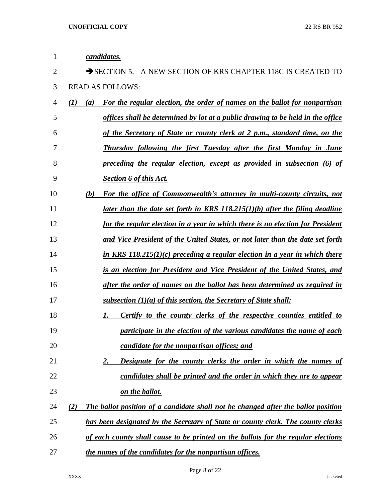| 1  | candidates.                                                                              |
|----|------------------------------------------------------------------------------------------|
| 2  | SECTION 5. A NEW SECTION OF KRS CHAPTER 118C IS CREATED TO                               |
| 3  | <b>READ AS FOLLOWS:</b>                                                                  |
| 4  | For the regular election, the order of names on the ballot for nonpartisan<br>(I)<br>(a) |
| 5  | offices shall be determined by lot at a public drawing to be held in the office          |
| 6  | of the Secretary of State or county clerk at 2 p.m., standard time, on the               |
| 7  | <u>Thursday following the first Tuesday after the first Monday in June</u>               |
| 8  | preceding the regular election, except as provided in subsection (6) of                  |
| 9  | <b>Section 6 of this Act.</b>                                                            |
| 10 | For the office of Commonwealth's attorney in multi-county circuits, not<br>(b)           |
| 11 | <u>later than the date set forth in KRS 118.215(1)(b) after the filing deadline</u>      |
| 12 | for the regular election in a year in which there is no election for President           |
| 13 | <u>and Vice President of the United States, or not later than the date set forth</u>     |
| 14 | in KRS $118.215(1)(c)$ preceding a regular election in a year in which there             |
| 15 | is an election for President and Vice President of the United States, and                |
| 16 | after the order of names on the ballot has been determined as required in                |
| 17 | <u>subsection <math>(1)(a)</math> of this section, the Secretary of State shall:</u>     |
| 18 | Certify to the county clerks of the respective counties entitled to                      |
| 19 | participate in the election of the various candidates the name of each                   |
| 20 | candidate for the nonpartisan offices; and                                               |
| 21 | Designate for the county clerks the order in which the names of<br><u>2.</u>             |
| 22 | candidates shall be printed and the order in which they are to appear                    |
| 23 | on the ballot.                                                                           |
| 24 | The ballot position of a candidate shall not be changed after the ballot position<br>(2) |
| 25 | has been designated by the Secretary of State or county clerk. The county clerks         |
| 26 | of each county shall cause to be printed on the ballots for the regular elections        |
| 27 | the names of the candidates for the nonpartisan offices.                                 |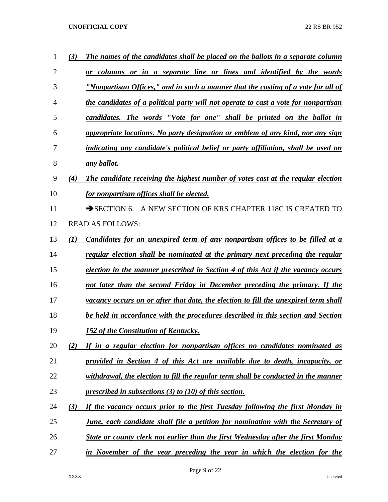| 1              | The names of the candidates shall be placed on the ballots in a separate column<br>(3)      |
|----------------|---------------------------------------------------------------------------------------------|
| $\overline{2}$ | or columns or in a separate line or lines and identified by the words                       |
| 3              | "Nonpartisan Offices," and in such a manner that the casting of a vote for all of           |
| 4              | the candidates of a political party will not operate to cast a vote for nonpartisan         |
| 5              | candidates. The words "Vote for one" shall be printed on the ballot in                      |
| 6              | appropriate locations. No party designation or emblem of any kind, nor any sign             |
| 7              | indicating any candidate's political belief or party affiliation, shall be used on          |
| 8              | any ballot.                                                                                 |
| 9              | The candidate receiving the highest number of votes cast at the regular election<br>(4)     |
| 10             | for nonpartisan offices shall be elected.                                                   |
| 11             | SECTION 6. A NEW SECTION OF KRS CHAPTER 118C IS CREATED TO                                  |
| 12             | <b>READ AS FOLLOWS:</b>                                                                     |
| 13             | (1)<br><u>Candidates for an unexpired term of any nonpartisan offices to be filled at a</u> |
| 14             | regular election shall be nominated at the primary next preceding the regular               |
| 15             | election in the manner prescribed in Section 4 of this Act if the vacancy occurs            |
| 16             | not later than the second Friday in December preceding the primary. If the                  |
| 17             | vacancy occurs on or after that date, the election to fill the unexpired term shall         |
| 18             | be held in accordance with the procedures described in this section and Section             |
| 19             | 152 of the Constitution of Kentucky.                                                        |
| 20             | If in a regular election for nonpartisan offices no candidates nominated as<br>(2)          |
| 21             | provided in Section 4 of this Act are available due to death, incapacity, or                |
| 22             | withdrawal, the election to fill the regular term shall be conducted in the manner          |
| 23             | prescribed in subsections $(3)$ to $(10)$ of this section.                                  |
| 24             | If the vacancy occurs prior to the first Tuesday following the first Monday in<br>(3)       |
| 25             | <b>June, each candidate shall file a petition for nomination with the Secretary of</b>      |
| 26             | State or county clerk not earlier than the first Wednesday after the first Monday           |
| 27             | in November of the year preceding the year in which the election for the                    |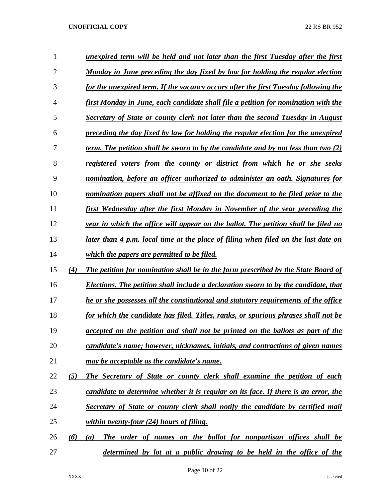| 1              |     | unexpired term will be held and not later than the first Tuesday after the first     |
|----------------|-----|--------------------------------------------------------------------------------------|
| $\overline{2}$ |     | Monday in June preceding the day fixed by law for holding the regular election       |
| 3              |     | for the unexpired term. If the vacancy occurs after the first Tuesday following the  |
| $\overline{4}$ |     | first Monday in June, each candidate shall file a petition for nomination with the   |
| 5              |     | Secretary of State or county clerk not later than the second Tuesday in August       |
| 6              |     | preceding the day fixed by law for holding the regular election for the unexpired    |
| 7              |     | term. The petition shall be sworn to by the candidate and by not less than two $(2)$ |
| 8              |     | registered voters from the county or district from which he or she seeks             |
| 9              |     | nomination, before an officer authorized to administer an oath. Signatures for       |
| 10             |     | nomination papers shall not be affixed on the document to be filed prior to the      |
| 11             |     | first Wednesday after the first Monday in November of the year preceding the         |
| 12             |     | year in which the office will appear on the ballot. The petition shall be filed no   |
| 13             |     | later than 4 p.m. local time at the place of filing when filed on the last date on   |
| 14             |     | which the papers are permitted to be filed.                                          |
| 15             | (4) | The petition for nomination shall be in the form prescribed by the State Board of    |
| 16             |     | Elections. The petition shall include a declaration sworn to by the candidate, that  |
| 17             |     | he or she possesses all the constitutional and statutory requirements of the office  |
| 18             |     | for which the candidate has filed. Titles, ranks, or spurious phrases shall not be   |
| 19             |     | accepted on the petition and shall not be printed on the ballots as part of the      |
| 20             |     | candidate's name; however, nicknames, initials, and contractions of given names      |
| 21             |     | may be acceptable as the candidate's name.                                           |
| 22             | (5) | The Secretary of State or county clerk shall examine the petition of each            |
| 23             |     | candidate to determine whether it is regular on its face. If there is an error, the  |
| 24             |     | Secretary of State or county clerk shall notify the candidate by certified mail      |
| 25             |     | within twenty-four $(24)$ hours of filing.                                           |
| 26             | (6) | The order of names on the ballot for nonpartisan offices shall be<br>(a)             |
| 27             |     | determined by lot at a public drawing to be held in the office of the                |

Page 10 of 22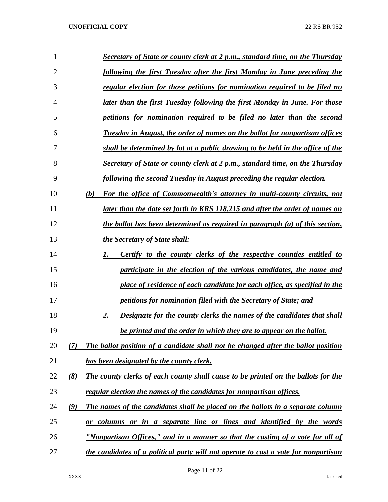| 1              | Secretary of State or county clerk at 2 p.m., standard time, on the Thursday                    |  |
|----------------|-------------------------------------------------------------------------------------------------|--|
| $\overline{2}$ | following the first Tuesday after the first Monday in June preceding the                        |  |
| 3              | regular election for those petitions for nomination required to be filed no                     |  |
| 4              | later than the first Tuesday following the first Monday in June. For those                      |  |
| 5              | petitions for nomination required to be filed no later than the second                          |  |
| 6              | Tuesday in August, the order of names on the ballot for nonpartisan offices                     |  |
| 7              | shall be determined by lot at a public drawing to be held in the office of the                  |  |
| 8              | Secretary of State or county clerk at 2 p.m., standard time, on the Thursday                    |  |
| 9              | following the second Tuesday in August preceding the regular election.                          |  |
| 10             | For the office of Commonwealth's attorney in multi-county circuits, not<br>(b)                  |  |
| 11             | later than the date set forth in KRS 118.215 and after the order of names on                    |  |
| 12             | the ballot has been determined as required in paragraph (a) of this section,                    |  |
| 13             | the Secretary of State shall:                                                                   |  |
| 14             | <b>Certify to the county clerks of the respective counties entitled to</b><br>1.                |  |
| 15             | participate in the election of the various candidates, the name and                             |  |
| 16             | place of residence of each candidate for each office, as specified in the                       |  |
| 17             | <i>petitions for nomination filed with the Secretary of State; and</i>                          |  |
| 18             | Designate for the county clerks the names of the candidates that shall<br>2.                    |  |
| 19             | be printed and the order in which they are to appear on the ballot.                             |  |
| 20             | The ballot position of a candidate shall not be changed after the ballot position<br>(7)        |  |
| 21             | has been designated by the county clerk.                                                        |  |
| 22             | (8)<br><b>The county clerks of each county shall cause to be printed on the ballots for the</b> |  |
| 23             | regular election the names of the candidates for nonpartisan offices.                           |  |
| 24             | The names of the candidates shall be placed on the ballots in a separate column<br>(9)          |  |
| 25             | <u>or columns or in a separate line or lines and identified by the words</u>                    |  |
| 26             | <u>"Nonpartisan Offices," and in a manner so that the casting of a vote for all of</u>          |  |
| 27             | the candidates of a political party will not operate to cast a vote for nonpartisan             |  |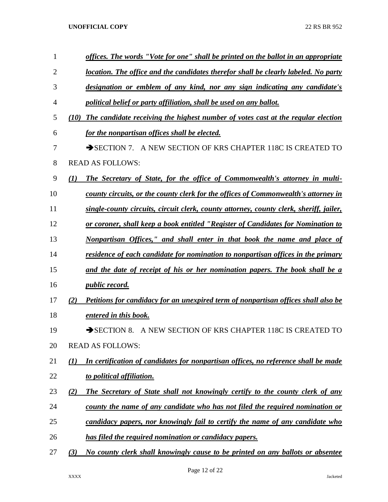| 1  |                  | offices. The words "Vote for one" shall be printed on the ballot in an appropriate     |
|----|------------------|----------------------------------------------------------------------------------------|
| 2  |                  | location. The office and the candidates therefor shall be clearly labeled. No party    |
| 3  |                  | designation or emblem of any kind, nor any sign indicating any candidate's             |
| 4  |                  | political belief or party affiliation, shall be used on any ballot.                    |
| 5  | (10)             | The candidate receiving the highest number of votes cast at the regular election       |
| 6  |                  | for the nonpartisan offices shall be elected.                                          |
| 7  |                  | SECTION 7. A NEW SECTION OF KRS CHAPTER 118C IS CREATED TO                             |
| 8  |                  | <b>READ AS FOLLOWS:</b>                                                                |
| 9  | $\mathcal{L}(I)$ | The Secretary of State, for the office of Commonwealth's attorney in multi-            |
| 10 |                  | county circuits, or the county clerk for the offices of Commonwealth's attorney in     |
| 11 |                  | single-county circuits, circuit clerk, county attorney, county clerk, sheriff, jailer, |
| 12 |                  | or coroner, shall keep a book entitled "Register of Candidates for Nomination to       |
| 13 |                  | Nonpartisan Offices," and shall enter in that book the name and place of               |
| 14 |                  | residence of each candidate for nomination to nonpartisan offices in the primary       |
| 15 |                  | and the date of receipt of his or her nomination papers. The book shall be a           |
| 16 |                  | <i>public record.</i>                                                                  |
| 17 | (2)              | Petitions for candidacy for an unexpired term of nonpartisan offices shall also be     |
| 18 |                  | entered in this book.                                                                  |
| 19 |                  | A NEW SECTION OF KRS CHAPTER 118C IS CREATED TO<br>$\rightarrow$ SECTION 8.            |
| 20 |                  | <b>READ AS FOLLOWS:</b>                                                                |
| 21 | $\mathcal{L}(I)$ | In certification of candidates for nonpartisan offices, no reference shall be made     |
| 22 |                  | to political affiliation.                                                              |
| 23 | (2)              | The Secretary of State shall not knowingly certify to the county clerk of any          |
| 24 |                  | county the name of any candidate who has not filed the required nomination or          |
| 25 |                  | candidacy papers, nor knowingly fail to certify the name of any candidate who          |
| 26 |                  | has filed the required nomination or candidacy papers.                                 |
| 27 | (3)              | No county clerk shall knowingly cause to be printed on any ballots or absentee         |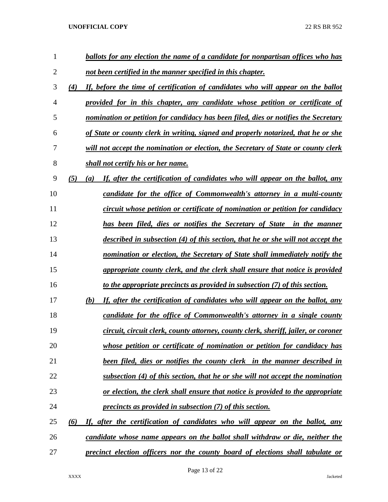| 1              | ballots for any election the name of a candidate for nonpartisan offices who has           |
|----------------|--------------------------------------------------------------------------------------------|
| $\overline{2}$ | not been certified in the manner specified in this chapter.                                |
| 3              | If, before the time of certification of candidates who will appear on the ballot<br>(4)    |
| 4              | provided for in this chapter, any candidate whose petition or certificate of               |
| 5              | nomination or petition for candidacy has been filed, dies or notifies the Secretary        |
| 6              | of State or county clerk in writing, signed and properly notarized, that he or she         |
| 7              | will not accept the nomination or election, the Secretary of State or county clerk         |
| 8              | shall not certify his or her name.                                                         |
| 9              | (5)<br>If, after the certification of candidates who will appear on the ballot, any<br>(a) |
| 10             | candidate for the office of Commonwealth's attorney in a multi-county                      |
| 11             | circuit whose petition or certificate of nomination or petition for candidacy              |
| 12             | has been filed, dies or notifies the Secretary of State in the manner                      |
| 13             | described in subsection (4) of this section, that he or she will not accept the            |
| 14             | nomination or election, the Secretary of State shall immediately notify the                |
| 15             | appropriate county clerk, and the clerk shall ensure that notice is provided               |
| 16             | to the appropriate precincts as provided in subsection (7) of this section.                |
| 17             | If, after the certification of candidates who will appear on the ballot, any<br>(b)        |
| 18             | candidate for the office of Commonwealth's attorney in a single county                     |
| 19             | circuit, circuit clerk, county attorney, county clerk, sheriff, jailer, or coroner         |
| 20             | whose petition or certificate of nomination or petition for candidacy has                  |
| 21             | <b>been filed, dies or notifies the county clerk in the manner described in</b>            |
| 22             | subsection (4) of this section, that he or she will not accept the nomination              |
| 23             | or election, the clerk shall ensure that notice is provided to the appropriate             |
| 24             | precincts as provided in subsection (7) of this section.                                   |
| 25             | If, after the certification of candidates who will appear on the ballot, any<br>(6)        |
| 26             | candidate whose name appears on the ballot shall withdraw or die, neither the              |
| 27             | <u>precinct election officers nor the county board of elections shall tabulate or</u>      |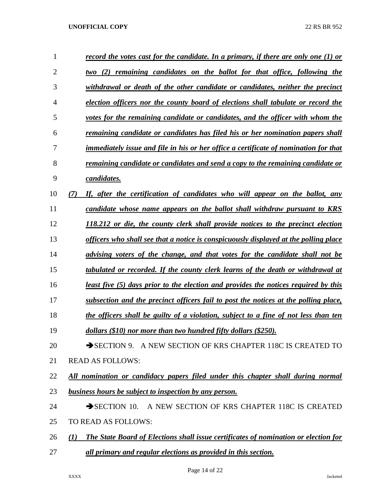| 1              | record the votes cast for the candidate. In a primary, if there are only one (1) or                     |
|----------------|---------------------------------------------------------------------------------------------------------|
| $\overline{2}$ | (2) remaining candidates on the ballot for that office, following the<br>two                            |
| 3              | withdrawal or death of the other candidate or candidates, neither the precinct                          |
| 4              | election officers nor the county board of elections shall tabulate or record the                        |
| 5              | votes for the remaining candidate or candidates, and the officer with whom the                          |
| 6              | remaining candidate or candidates has filed his or her nomination papers shall                          |
| 7              | immediately issue and file in his or her office a certificate of nomination for that                    |
| 8              | remaining candidate or candidates and send a copy to the remaining candidate or                         |
| 9              | candidates.                                                                                             |
| 10             | If, after the certification of candidates who will appear on the ballot, any<br>(7)                     |
| 11             | candidate whose name appears on the ballot shall withdraw pursuant to KRS                               |
| 12             | 118.212 or die, the county clerk shall provide notices to the precinct election                         |
| 13             | officers who shall see that a notice is conspicuously displayed at the polling place                    |
| 14             | advising voters of the change, and that votes for the candidate shall not be                            |
| 15             | tabulated or recorded. If the county clerk learns of the death or withdrawal at                         |
| 16             | least five (5) days prior to the election and provides the notices required by this                     |
| 17             | subsection and the precinct officers fail to post the notices at the polling place,                     |
| 18             | the officers shall be guilty of a violation, subject to a fine of not less than ten                     |
| 19             | dollars (\$10) nor more than two hundred fifty dollars (\$250).                                         |
| 20             | SECTION 9. A NEW SECTION OF KRS CHAPTER 118C IS CREATED TO                                              |
| 21             | <b>READ AS FOLLOWS:</b>                                                                                 |
| 22             | All nomination or candidacy papers filed under this chapter shall during normal                         |
| 23             | <b>business hours be subject to inspection by any person.</b>                                           |
| 24             | $\rightarrow$ SECTION 10.<br>A NEW SECTION OF KRS CHAPTER 118C IS CREATED                               |
| 25             | TO READ AS FOLLOWS:                                                                                     |
| 26             | The State Board of Elections shall issue certificates of nomination or election for<br>$\mathcal{L}(I)$ |
| 27             | all primary and regular elections as provided in this section.                                          |

Page 14 of 22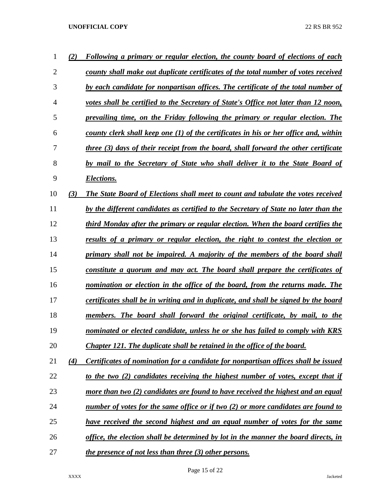| 1  | (2) | Following a primary or regular election, the county board of elections of each             |
|----|-----|--------------------------------------------------------------------------------------------|
| 2  |     | county shall make out duplicate certificates of the total number of votes received         |
| 3  |     | by each candidate for nonpartisan offices. The certificate of the total number of          |
| 4  |     | votes shall be certified to the Secretary of State's Office not later than 12 noon,        |
| 5  |     | prevailing time, on the Friday following the primary or regular election. The              |
| 6  |     | county clerk shall keep one (1) of the certificates in his or her office and, within       |
| 7  |     | <u>three (3) days of their receipt from the board, shall forward the other certificate</u> |
| 8  |     | by mail to the Secretary of State who shall deliver it to the State Board of               |
| 9  |     | Elections.                                                                                 |
| 10 | (3) | The State Board of Elections shall meet to count and tabulate the votes received           |
| 11 |     | by the different candidates as certified to the Secretary of State no later than the       |
| 12 |     | third Monday after the primary or regular election. When the board certifies the           |
| 13 |     | results of a primary or regular election, the right to contest the election or             |
| 14 |     | primary shall not be impaired. A majority of the members of the board shall                |
| 15 |     | constitute a quorum and may act. The board shall prepare the certificates of               |
| 16 |     | nomination or election in the office of the board, from the returns made. The              |
| 17 |     | certificates shall be in writing and in duplicate, and shall be signed by the board        |
| 18 |     | members. The board shall forward the original certificate, by mail, to the                 |
| 19 |     | nominated or elected candidate, unless he or she has failed to comply with KRS             |
| 20 |     | <b>Chapter 121. The duplicate shall be retained in the office of the board.</b>            |
| 21 | (4) | Certificates of nomination for a candidate for nonpartisan offices shall be issued         |
| 22 |     | to the two (2) candidates receiving the highest number of votes, except that if            |
| 23 |     | more than two (2) candidates are found to have received the highest and an equal           |
| 24 |     | number of votes for the same office or if two (2) or more candidates are found to          |
| 25 |     | have received the second highest and an equal number of votes for the same                 |
| 26 |     | office, the election shall be determined by lot in the manner the board directs, in        |
| 27 |     | <i>the presence of not less than three (3) other persons.</i>                              |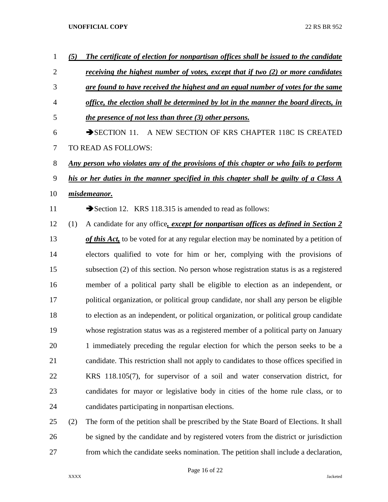| 1              | (5) | The certificate of election for nonpartisan offices shall be issued to the candidate         |
|----------------|-----|----------------------------------------------------------------------------------------------|
| $\overline{2}$ |     | <u>receiving the highest number of votes, except that if two (2) or more candidates</u>      |
| 3              |     | are found to have received the highest and an equal number of votes for the same             |
| 4              |     | office, the election shall be determined by lot in the manner the board directs, in          |
| 5              |     | <i>the presence of not less than three (3) other persons.</i>                                |
| 6              |     | A NEW SECTION OF KRS CHAPTER 118C IS CREATED<br>$\rightarrow$ SECTION 11.                    |
| 7              |     | TO READ AS FOLLOWS:                                                                          |
| 8              |     | <u>Any person who violates any of the provisions of this chapter or who fails to perform</u> |
| 9              |     | his or her duties in the manner specified in this chapter shall be guilty of a Class A       |
| 10             |     | misdemeanor.                                                                                 |
| 11             |     | Section 12. KRS 118.315 is amended to read as follows:                                       |
| 12             | (1) | A candidate for any office, except for nonpartisan offices as defined in Section 2           |
| 13             |     | of this Act, to be voted for at any regular election may be nominated by a petition of       |
| 14             |     | electors qualified to vote for him or her, complying with the provisions of                  |
| 15             |     | subsection (2) of this section. No person whose registration status is as a registered       |
| 16             |     | member of a political party shall be eligible to election as an independent, or              |
| 17             |     | political organization, or political group candidate, nor shall any person be eligible       |
| 18             |     | to election as an independent, or political organization, or political group candidate       |
| 19             |     | whose registration status was as a registered member of a political party on January         |
| 20             |     | 1 immediately preceding the regular election for which the person seeks to be a              |
| 21             |     | candidate. This restriction shall not apply to candidates to those offices specified in      |
| 22             |     | KRS 118.105(7), for supervisor of a soil and water conservation district, for                |
| 23             |     | candidates for mayor or legislative body in cities of the home rule class, or to             |
| 24             |     | candidates participating in nonpartisan elections.                                           |
| 25             | (2) | The form of the petition shall be prescribed by the State Board of Elections. It shall       |
| 26             |     | be signed by the candidate and by registered voters from the district or jurisdiction        |

from which the candidate seeks nomination. The petition shall include a declaration,

Page 16 of 22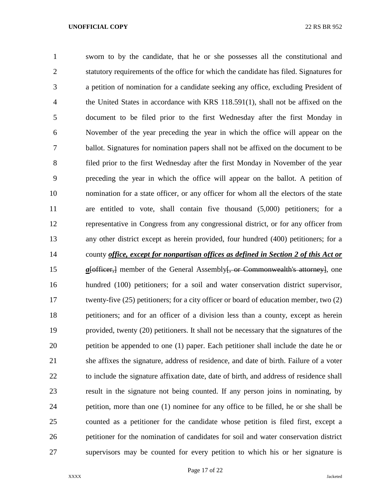sworn to by the candidate, that he or she possesses all the constitutional and statutory requirements of the office for which the candidate has filed. Signatures for a petition of nomination for a candidate seeking any office, excluding President of the United States in accordance with KRS 118.591(1), shall not be affixed on the document to be filed prior to the first Wednesday after the first Monday in November of the year preceding the year in which the office will appear on the ballot. Signatures for nomination papers shall not be affixed on the document to be filed prior to the first Wednesday after the first Monday in November of the year preceding the year in which the office will appear on the ballot. A petition of nomination for a state officer, or any officer for whom all the electors of the state are entitled to vote, shall contain five thousand (5,000) petitioners; for a representative in Congress from any congressional district, or for any officer from any other district except as herein provided, four hundred (400) petitioners; for a county *office, except for nonpartisan offices as defined in Section 2 of this Act or a*[officer,] member of the General Assembly<del>], or Commonwealth's attorney</del>], one hundred (100) petitioners; for a soil and water conservation district supervisor, 17 twenty-five (25) petitioners; for a city officer or board of education member, two (2) petitioners; and for an officer of a division less than a county, except as herein provided, twenty (20) petitioners. It shall not be necessary that the signatures of the petition be appended to one (1) paper. Each petitioner shall include the date he or she affixes the signature, address of residence, and date of birth. Failure of a voter to include the signature affixation date, date of birth, and address of residence shall result in the signature not being counted. If any person joins in nominating, by petition, more than one (1) nominee for any office to be filled, he or she shall be counted as a petitioner for the candidate whose petition is filed first, except a petitioner for the nomination of candidates for soil and water conservation district supervisors may be counted for every petition to which his or her signature is

Page 17 of 22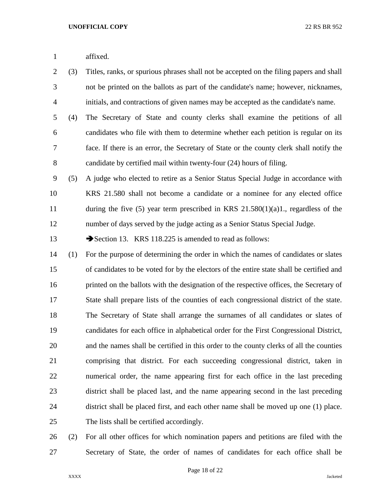affixed.

- (3) Titles, ranks, or spurious phrases shall not be accepted on the filing papers and shall not be printed on the ballots as part of the candidate's name; however, nicknames, initials, and contractions of given names may be accepted as the candidate's name.
- (4) The Secretary of State and county clerks shall examine the petitions of all candidates who file with them to determine whether each petition is regular on its face. If there is an error, the Secretary of State or the county clerk shall notify the candidate by certified mail within twenty-four (24) hours of filing.
- (5) A judge who elected to retire as a Senior Status Special Judge in accordance with KRS 21.580 shall not become a candidate or a nominee for any elected office during the five (5) year term prescribed in KRS 21.580(1)(a)1., regardless of the number of days served by the judge acting as a Senior Status Special Judge.

13 Section 13. KRS 118.225 is amended to read as follows:

 (1) For the purpose of determining the order in which the names of candidates or slates of candidates to be voted for by the electors of the entire state shall be certified and 16 printed on the ballots with the designation of the respective offices, the Secretary of State shall prepare lists of the counties of each congressional district of the state. The Secretary of State shall arrange the surnames of all candidates or slates of candidates for each office in alphabetical order for the First Congressional District, and the names shall be certified in this order to the county clerks of all the counties comprising that district. For each succeeding congressional district, taken in numerical order, the name appearing first for each office in the last preceding district shall be placed last, and the name appearing second in the last preceding district shall be placed first, and each other name shall be moved up one (1) place. The lists shall be certified accordingly.

 (2) For all other offices for which nomination papers and petitions are filed with the Secretary of State, the order of names of candidates for each office shall be

Page 18 of 22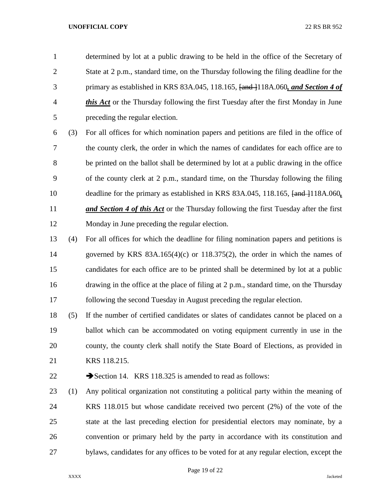determined by lot at a public drawing to be held in the office of the Secretary of State at 2 p.m., standard time, on the Thursday following the filing deadline for the primary as established in KRS 83A.045, 118.165, [and ]118A.060*, and Section 4 of this Act* or the Thursday following the first Tuesday after the first Monday in June preceding the regular election.

 (3) For all offices for which nomination papers and petitions are filed in the office of the county clerk, the order in which the names of candidates for each office are to be printed on the ballot shall be determined by lot at a public drawing in the office of the county clerk at 2 p.m., standard time, on the Thursday following the filing 10 deadline for the primary as established in KRS 83A.045, 118.165,  $\frac{1}{2}$  and  $\frac{1}{118A.060}$ , *and Section 4 of this Act* or the Thursday following the first Tuesday after the first Monday in June preceding the regular election.

 (4) For all offices for which the deadline for filing nomination papers and petitions is governed by KRS 83A.165(4)(c) or 118.375(2), the order in which the names of candidates for each office are to be printed shall be determined by lot at a public drawing in the office at the place of filing at 2 p.m., standard time, on the Thursday following the second Tuesday in August preceding the regular election.

 (5) If the number of certified candidates or slates of candidates cannot be placed on a ballot which can be accommodated on voting equipment currently in use in the county, the county clerk shall notify the State Board of Elections, as provided in KRS 118.215.

22 Section 14. KRS 118.325 is amended to read as follows:

 (1) Any political organization not constituting a political party within the meaning of KRS 118.015 but whose candidate received two percent (2%) of the vote of the state at the last preceding election for presidential electors may nominate, by a convention or primary held by the party in accordance with its constitution and bylaws, candidates for any offices to be voted for at any regular election, except the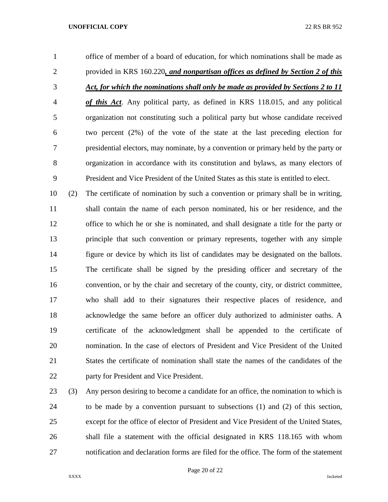office of member of a board of education, for which nominations shall be made as provided in KRS 160.220*, and nonpartisan offices as defined by Section 2 of this Act, for which the nominations shall only be made as provided by Sections 2 to 11 of this Act*. Any political party, as defined in KRS 118.015, and any political organization not constituting such a political party but whose candidate received two percent (2%) of the vote of the state at the last preceding election for presidential electors, may nominate, by a convention or primary held by the party or organization in accordance with its constitution and bylaws, as many electors of President and Vice President of the United States as this state is entitled to elect.

 (2) The certificate of nomination by such a convention or primary shall be in writing, shall contain the name of each person nominated, his or her residence, and the office to which he or she is nominated, and shall designate a title for the party or principle that such convention or primary represents, together with any simple figure or device by which its list of candidates may be designated on the ballots. The certificate shall be signed by the presiding officer and secretary of the convention, or by the chair and secretary of the county, city, or district committee, who shall add to their signatures their respective places of residence, and acknowledge the same before an officer duly authorized to administer oaths. A certificate of the acknowledgment shall be appended to the certificate of nomination. In the case of electors of President and Vice President of the United States the certificate of nomination shall state the names of the candidates of the party for President and Vice President.

 (3) Any person desiring to become a candidate for an office, the nomination to which is to be made by a convention pursuant to subsections (1) and (2) of this section, except for the office of elector of President and Vice President of the United States, shall file a statement with the official designated in KRS 118.165 with whom notification and declaration forms are filed for the office. The form of the statement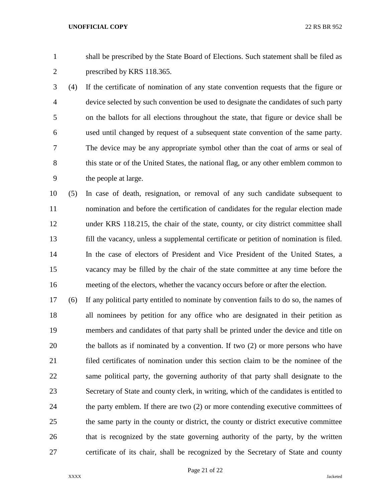shall be prescribed by the State Board of Elections. Such statement shall be filed as prescribed by KRS 118.365.

 (4) If the certificate of nomination of any state convention requests that the figure or device selected by such convention be used to designate the candidates of such party on the ballots for all elections throughout the state, that figure or device shall be used until changed by request of a subsequent state convention of the same party. The device may be any appropriate symbol other than the coat of arms or seal of 8 this state or of the United States, the national flag, or any other emblem common to the people at large.

 (5) In case of death, resignation, or removal of any such candidate subsequent to nomination and before the certification of candidates for the regular election made under KRS 118.215, the chair of the state, county, or city district committee shall fill the vacancy, unless a supplemental certificate or petition of nomination is filed. In the case of electors of President and Vice President of the United States, a vacancy may be filled by the chair of the state committee at any time before the meeting of the electors, whether the vacancy occurs before or after the election.

 (6) If any political party entitled to nominate by convention fails to do so, the names of all nominees by petition for any office who are designated in their petition as members and candidates of that party shall be printed under the device and title on the ballots as if nominated by a convention. If two (2) or more persons who have filed certificates of nomination under this section claim to be the nominee of the same political party, the governing authority of that party shall designate to the Secretary of State and county clerk, in writing, which of the candidates is entitled to the party emblem. If there are two (2) or more contending executive committees of the same party in the county or district, the county or district executive committee that is recognized by the state governing authority of the party, by the written certificate of its chair, shall be recognized by the Secretary of State and county